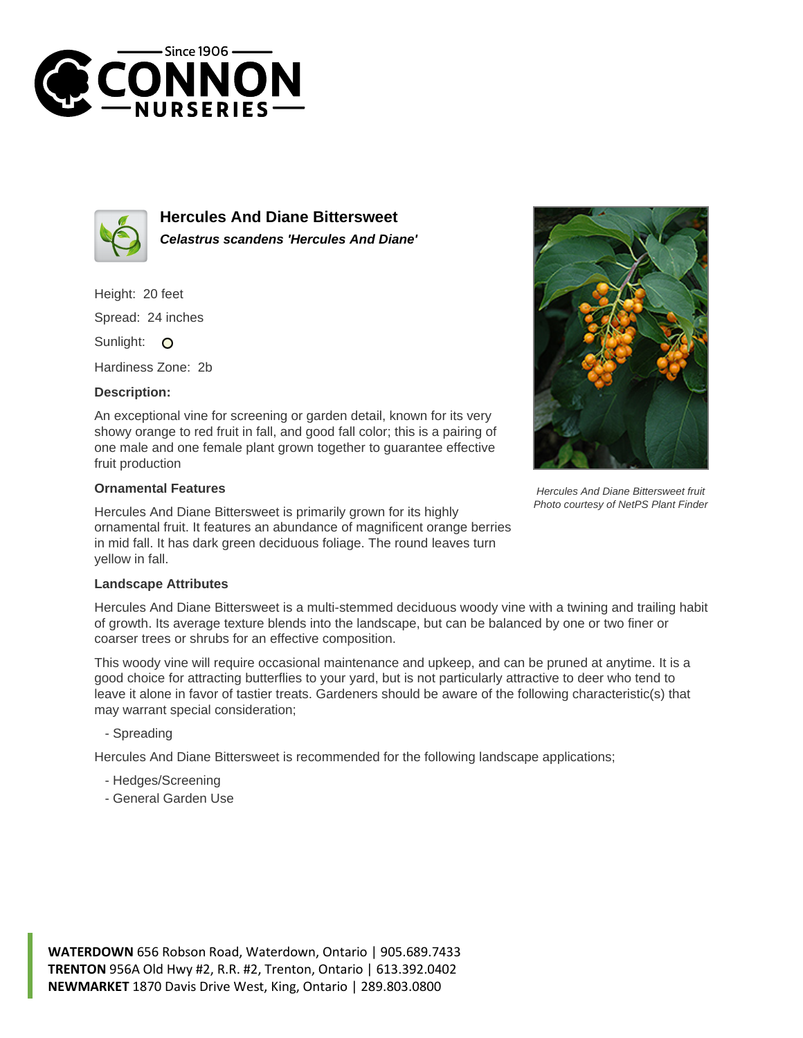



**Hercules And Diane Bittersweet Celastrus scandens 'Hercules And Diane'**

Height: 20 feet Spread: 24 inches

Sunlight: O

Hardiness Zone: 2b

## **Description:**

An exceptional vine for screening or garden detail, known for its very showy orange to red fruit in fall, and good fall color; this is a pairing of one male and one female plant grown together to guarantee effective fruit production

## **Ornamental Features**

Hercules And Diane Bittersweet is primarily grown for its highly ornamental fruit. It features an abundance of magnificent orange berries in mid fall. It has dark green deciduous foliage. The round leaves turn yellow in fall.

## **Landscape Attributes**

Hercules And Diane Bittersweet is a multi-stemmed deciduous woody vine with a twining and trailing habit of growth. Its average texture blends into the landscape, but can be balanced by one or two finer or coarser trees or shrubs for an effective composition.

This woody vine will require occasional maintenance and upkeep, and can be pruned at anytime. It is a good choice for attracting butterflies to your yard, but is not particularly attractive to deer who tend to leave it alone in favor of tastier treats. Gardeners should be aware of the following characteristic(s) that may warrant special consideration;

- Spreading

Hercules And Diane Bittersweet is recommended for the following landscape applications;

- Hedges/Screening
- General Garden Use





Hercules And Diane Bittersweet fruit Photo courtesy of NetPS Plant Finder